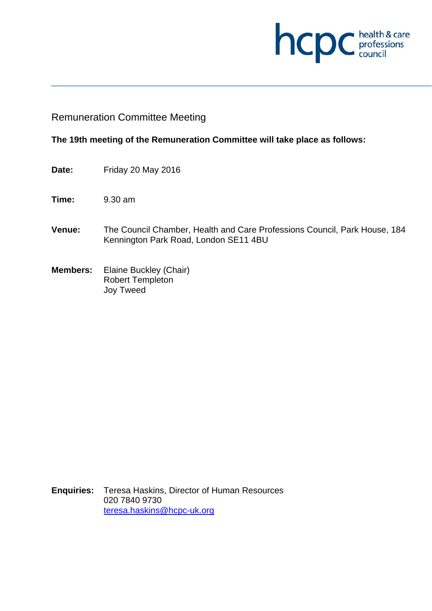

# Remuneration Committee Meeting

### **The 19th meeting of the Remuneration Committee will take place as follows:**

- **Date:** Friday 20 May 2016
- **Time:** 9.30 am
- **Venue:** The Council Chamber, Health and Care Professions Council, Park House, 184 Kennington Park Road, London SE11 4BU
- **Members:** Elaine Buckley (Chair) Robert Templeton Joy Tweed

**Enquiries:** Teresa Haskins, Director of Human Resources 020 7840 9730 teresa.haskins@hcpc-uk.org